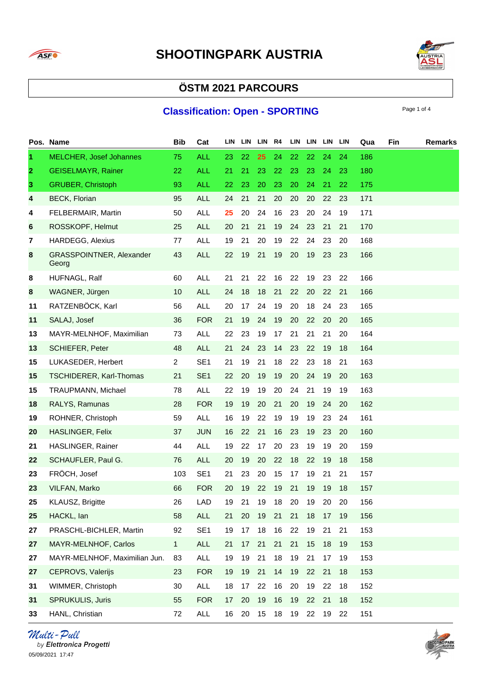



# **ÖSTM 2021 PARCOURS**

### **Classification: Open - SPORTING**

|              | Pos. Name                         | <b>Bib</b>     | Cat             | LIN |       | LIN LIN R4 |       |    |       | LIN LIN LIN LIN |    | Qua | Fin | <b>Remarks</b> |
|--------------|-----------------------------------|----------------|-----------------|-----|-------|------------|-------|----|-------|-----------------|----|-----|-----|----------------|
| 1.           | <b>MELCHER, Josef Johannes</b>    | 75             | <b>ALL</b>      | 23  | 22    | 25         | 24    | 22 | 22    | 24              | 24 | 186 |     |                |
| $\mathbf{2}$ | <b>GEISELMAYR, Rainer</b>         | 22             | <b>ALL</b>      | 21  | 21    | 23         | 22    | 23 | 23    | 24              | 23 | 180 |     |                |
| 3            | <b>GRUBER, Christoph</b>          | 93             | <b>ALL</b>      | 22  | 23    | 20         | 23    | 20 | 24    | 21              | 22 | 175 |     |                |
| 4            | <b>BECK, Florian</b>              | 95             | <b>ALL</b>      | 24  | 21    | 21         | 20    | 20 | 20    | 22              | 23 | 171 |     |                |
| 4            | FELBERMAIR, Martin                | 50             | <b>ALL</b>      | 25  | 20    | 24         | 16    | 23 | 20    | 24              | 19 | 171 |     |                |
| 6            | ROSSKOPF, Helmut                  | 25             | <b>ALL</b>      | 20  | 21    | 21         | 19    | 24 | 23    | 21              | 21 | 170 |     |                |
| 7            | <b>HARDEGG, Alexius</b>           | 77             | <b>ALL</b>      | 19  | 21    | 20         | 19    | 22 | 24    | 23              | 20 | 168 |     |                |
| 8            | GRASSPOINTNER, Alexander<br>Georg | 43             | <b>ALL</b>      | 22  | 19    | 21         | 19    | 20 | 19    | 23              | 23 | 166 |     |                |
| 8            | HUFNAGL, Ralf                     | 60             | <b>ALL</b>      | 21  | 21    | 22         | 16    | 22 | 19    | 23              | 22 | 166 |     |                |
| 8            | WAGNER, Jürgen                    | 10             | ALL             | 24  | 18    | 18         | 21    | 22 | 20    | 22              | 21 | 166 |     |                |
| 11           | RATZENBÖCK, Karl                  | 56             | <b>ALL</b>      | 20  | 17    | 24         | 19    | 20 | 18    | 24              | 23 | 165 |     |                |
| 11           | SALAJ, Josef                      | 36             | <b>FOR</b>      | 21  | 19    | 24         | 19    | 20 | 22    | 20              | 20 | 165 |     |                |
| 13           | MAYR-MELNHOF, Maximilian          | 73             | <b>ALL</b>      | 22  | 23    | 19         | 17    | 21 | 21    | 21              | 20 | 164 |     |                |
| 13           | <b>SCHIEFER, Peter</b>            | 48             | <b>ALL</b>      | 21  | 24    | 23         | 14    | 23 | 22    | 19              | 18 | 164 |     |                |
| 15           | LUKASEDER, Herbert                | $\overline{2}$ | SE <sub>1</sub> | 21  | 19    | 21         | 18    | 22 | 23    | 18              | 21 | 163 |     |                |
| 15           | <b>TSCHIDERER, Karl-Thomas</b>    | 21             | SE <sub>1</sub> | 22  | 20    | 19         | 19    | 20 | 24    | 19              | 20 | 163 |     |                |
| 15           | TRAUPMANN, Michael                | 78             | <b>ALL</b>      | 22  | 19    | 19         | 20    | 24 | 21    | 19              | 19 | 163 |     |                |
| 18           | RALYS, Ramunas                    | 28             | <b>FOR</b>      | 19  | 19    | 20         | 21    | 20 | 19    | 24              | 20 | 162 |     |                |
| 19           | ROHNER, Christoph                 | 59             | ALL             | 16  | 19    | 22         | 19    | 19 | 19    | 23              | 24 | 161 |     |                |
| 20           | HASLINGER, Felix                  | 37             | <b>JUN</b>      | 16  | 22    | 21         | 16    | 23 | 19    | 23              | 20 | 160 |     |                |
| 21           | HASLINGER, Rainer                 | 44             | ALL             | 19  | 22    | 17         | 20    | 23 | 19    | 19              | 20 | 159 |     |                |
| 22           | SCHAUFLER, Paul G.                | 76             | <b>ALL</b>      | 20  | 19    | 20         | 22    | 18 | 22    | 19              | 18 | 158 |     |                |
| 23           | FRÖCH, Josef                      | 103            | SE <sub>1</sub> | 21  | 23    | 20         | 15    | 17 | 19    | 21              | 21 | 157 |     |                |
| 23           | VILFAN, Marko                     | 66             | <b>FOR</b>      | 20  | 19    | 22         | 19    | 21 | 19    | 19              | 18 | 157 |     |                |
| 25           | KLAUSZ, Brigitte                  | 26             | LAD             | 19  | 21    |            | 19 18 | 20 | 19    | 20              | 20 | 156 |     |                |
| 25           | HACKL, lan                        | 58             | ALL             | 21  | 20    | 19         | 21    | 21 | 18    | 17              | 19 | 156 |     |                |
| 27           | PRASCHL-BICHLER, Martin           | 92             | SE <sub>1</sub> | 19  | 17    | 18         | 16    | 22 | 19    | 21              | 21 | 153 |     |                |
| 27           | MAYR-MELNHOF, Carlos              | 1              | ALL             | 21  | 17    | 21         | 21    | 21 | 15    | 18              | 19 | 153 |     |                |
| 27           | MAYR-MELNHOF, Maximilian Jun.     | 83             | <b>ALL</b>      | 19  | 19    | 21         | 18    | 19 | 21    | 17              | 19 | 153 |     |                |
| 27           | CEPROVS, Valerijs                 | 23             | <b>FOR</b>      | 19  | 19 21 |            | 14    | 19 | 22 21 |                 | 18 | 153 |     |                |
| 31           | WIMMER, Christoph                 | 30             | ALL             | 18  | 17    | 22         | 16    | 20 | 19    | 22              | 18 | 152 |     |                |
| 31           | SPRUKULIS, Juris                  | 55             | <b>FOR</b>      | 17  | 20    | 19         | 16    | 19 | 22    | 21              | 18 | 152 |     |                |
| 33           | HANL, Christian                   | 72             | ALL             | 16  | 20    | 15         | 18    | 19 | 22    | 19              | 22 | 151 |     |                |

Multi-Pull by Elettronica Progetti 05/09/2021 17:47

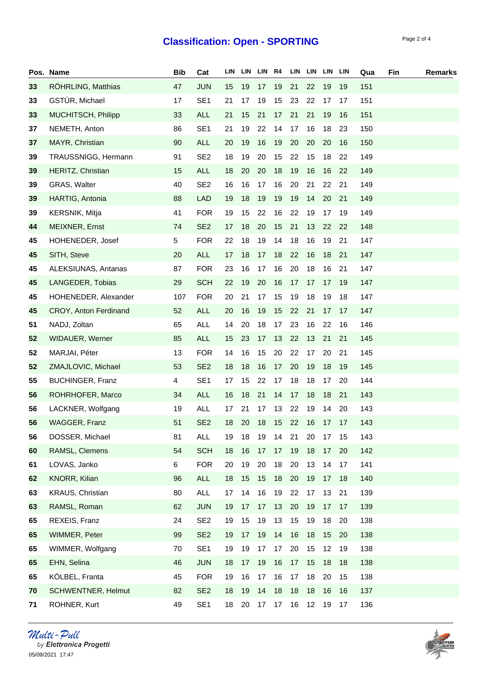### **Classification: Open - SPORTING**

**Pos. Name Bib Cat LIN LIN LIN R4 LIN LIN LIN LIN Qua Fin Remarks**

| 33 | RÖHRLING, Matthias        | 47  | <b>JUN</b>      | 15 | 19 | 17 | 19 | 21 | 22 | 19                   | 19 | 151 |
|----|---------------------------|-----|-----------------|----|----|----|----|----|----|----------------------|----|-----|
| 33 | GSTÜR, Michael            | 17  | SE <sub>1</sub> | 21 | 17 | 19 | 15 | 23 | 22 | 17                   | 17 | 151 |
| 33 | MUCHITSCH, Philipp        | 33  | <b>ALL</b>      | 21 | 15 | 21 | 17 | 21 | 21 | 19                   | 16 | 151 |
| 37 | NEMETH, Anton             | 86  | SE <sub>1</sub> | 21 | 19 | 22 | 14 | 17 | 16 | 18                   | 23 | 150 |
| 37 | MAYR, Christian           | 90  | <b>ALL</b>      | 20 | 19 | 16 | 19 | 20 | 20 | 20                   | 16 | 150 |
| 39 | TRAUSSNIGG, Hermann       | 91  | SE <sub>2</sub> | 18 | 19 | 20 | 15 | 22 | 15 | 18                   | 22 | 149 |
| 39 | HERITZ, Christian         | 15  | <b>ALL</b>      | 18 | 20 | 20 | 18 | 19 | 16 | 16                   | 22 | 149 |
| 39 | GRAS, Walter              | 40  | SE <sub>2</sub> | 16 | 16 | 17 | 16 | 20 | 21 | 22                   | 21 | 149 |
| 39 | HARTIG, Antonia           | 88  | <b>LAD</b>      | 19 | 18 | 19 | 19 | 19 | 14 | 20                   | 21 | 149 |
| 39 | <b>KERSNIK, Mitja</b>     | 41  | <b>FOR</b>      | 19 | 15 | 22 | 16 | 22 | 19 | 17                   | 19 | 149 |
| 44 | MEIXNER, Ernst            | 74  | SE <sub>2</sub> | 17 | 18 | 20 | 15 | 21 | 13 | 22                   | 22 | 148 |
| 45 | HOHENEDER, Josef          | 5   | <b>FOR</b>      | 22 | 18 | 19 | 14 | 18 | 16 | 19                   | 21 | 147 |
| 45 | SITH, Steve               | 20  | <b>ALL</b>      | 17 | 18 | 17 | 18 | 22 | 16 | 18                   | 21 | 147 |
| 45 | ALEKSIUNAS, Antanas       | 87  | <b>FOR</b>      | 23 | 16 | 17 | 16 | 20 | 18 | 16                   | 21 | 147 |
| 45 | LANGEDER, Tobias          | 29  | <b>SCH</b>      | 22 | 19 | 20 | 16 | 17 | 17 | 17                   | 19 | 147 |
| 45 | HOHENEDER, Alexander      | 107 | <b>FOR</b>      | 20 | 21 | 17 | 15 | 19 | 18 | 19                   | 18 | 147 |
| 45 | CROY, Anton Ferdinand     | 52  | <b>ALL</b>      | 20 | 16 | 19 | 15 | 22 | 21 | 17                   | 17 | 147 |
| 51 | NADJ, Zoltan              | 65  | ALL             | 14 | 20 | 18 | 17 | 23 | 16 | 22                   | 16 | 146 |
| 52 | WIDAUER, Werner           | 85  | ALL             | 15 | 23 | 17 | 13 | 22 | 13 | 21                   | 21 | 145 |
| 52 | MARJAI, Péter             | 13  | <b>FOR</b>      | 14 | 16 | 15 | 20 | 22 | 17 | 20                   | 21 | 145 |
| 52 | ZMAJLOVIC, Michael        | 53  | SE <sub>2</sub> | 18 | 18 | 16 | 17 | 20 | 19 | 18                   | 19 | 145 |
| 55 | <b>BUCHINGER, Franz</b>   | 4   | SE <sub>1</sub> | 17 | 15 | 22 | 17 | 18 | 18 | 17                   | 20 | 144 |
| 56 | ROHRHOFER, Marco          | 34  | <b>ALL</b>      | 16 | 18 | 21 | 14 | 17 | 18 | 18                   | 21 | 143 |
| 56 | LACKNER, Wolfgang         | 19  | <b>ALL</b>      | 17 | 21 | 17 | 13 | 22 | 19 | 14                   | 20 | 143 |
| 56 | WAGGER, Franz             | 51  | SE <sub>2</sub> | 18 | 20 | 18 | 15 | 22 | 16 | 17                   | 17 | 143 |
| 56 | DOSSER, Michael           | 81  | <b>ALL</b>      | 19 | 18 | 19 | 14 | 21 | 20 | 17                   | 15 | 143 |
| 60 | RAMSL, Clemens            | 54  | <b>SCH</b>      | 18 |    |    |    |    |    | 16 17 17 19 18 17 20 |    | 142 |
| 61 | LOVAS, Janko              | 6   | <b>FOR</b>      | 20 | 19 | 20 | 18 | 20 | 13 | 14                   | 17 | 141 |
| 62 | KNORR, Kilian             | 96  | ALL             | 18 | 15 | 15 | 18 | 20 | 19 | 17                   | 18 | 140 |
| 63 | KRAUS, Christian          | 80  | ALL             | 17 | 14 | 16 | 19 | 22 | 17 | 13                   | 21 | 139 |
| 63 | RAMSL, Roman              | 62  | <b>JUN</b>      | 19 | 17 | 17 | 13 | 20 | 19 | 17                   | 17 | 139 |
| 65 | REXEIS, Franz             | 24  | SE <sub>2</sub> | 19 | 15 | 19 | 13 | 15 | 19 | 18                   | 20 | 138 |
| 65 | WIMMER, Peter             | 99  | SE <sub>2</sub> | 19 | 17 | 19 | 14 | 16 | 18 | 15                   | 20 | 138 |
| 65 | WIMMER, Wolfgang          | 70  | SE <sub>1</sub> | 19 | 19 | 17 | 17 | 20 | 15 | 12                   | 19 | 138 |
| 65 | EHN, Selina               | 46  | <b>JUN</b>      | 18 | 17 | 19 | 16 | 17 | 15 | 18                   | 18 | 138 |
| 65 | KÖLBEL, Franta            | 45  | <b>FOR</b>      | 19 | 16 | 17 | 16 | 17 | 18 | 20                   | 15 | 138 |
| 70 | <b>SCHWENTNER, Helmut</b> | 82  | SE <sub>2</sub> | 18 | 19 | 14 | 18 | 18 | 18 | 16                   | 16 | 137 |
| 71 | ROHNER, Kurt              | 49  | SE <sub>1</sub> | 18 | 20 | 17 | 17 | 16 | 12 | 19                   | 17 | 136 |

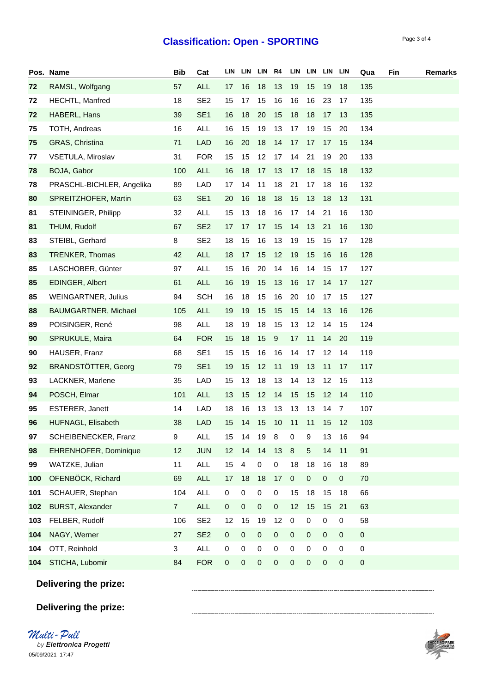## **Classification: Open - SPORTING** Page 3 of 4

|     | Pos. Name                  | <b>Bib</b>     | Cat             | LIN       | LIN       | LIN R4    |             |             | LIN LIN LIN LIN |             |             | Qua       | Fin | <b>Remarks</b> |
|-----|----------------------------|----------------|-----------------|-----------|-----------|-----------|-------------|-------------|-----------------|-------------|-------------|-----------|-----|----------------|
| 72  | RAMSL, Wolfgang            | 57             | <b>ALL</b>      | 17        | 16        | 18        | 13          | 19          | 15              | 19          | 18          | 135       |     |                |
| 72  | HECHTL, Manfred            | 18             | SE <sub>2</sub> | 15        | 17        | 15        | 16          | 16          | 16              | 23          | 17          | 135       |     |                |
| 72  | HABERL, Hans               | 39             | SE <sub>1</sub> | 16        | 18        | 20        | 15          | 18          | 18              | 17          | 13          | 135       |     |                |
| 75  | TOTH, Andreas              | 16             | <b>ALL</b>      | 16        | 15        | 19        | 13          | 17          | 19              | 15          | 20          | 134       |     |                |
| 75  | GRAS, Christina            | 71             | LAD             | 16        | 20        | 18        | 14          | 17          | 17              | 17          | 15          | 134       |     |                |
| 77  | VSETULA, Miroslav          | 31             | <b>FOR</b>      | 15        | 15        | 12        | 17          | 14          | 21              | 19          | 20          | 133       |     |                |
| 78  | BOJA, Gabor                | 100            | ALL             | 16        | 18        | 17        | 13          | 17          | 18              | 15          | 18          | 132       |     |                |
| 78  | PRASCHL-BICHLER, Angelika  | 89             | LAD             | 17        | 14        | 11        | 18          | 21          | 17              | 18          | 16          | 132       |     |                |
| 80  | SPREITZHOFER, Martin       | 63             | SE <sub>1</sub> | 20        | 16        | 18        | 18          | 15          | 13              | 18          | 13          | 131       |     |                |
| 81  | STEININGER, Philipp        | 32             | <b>ALL</b>      | 15        | 13        | 18        | 16          | 17          | 14              | 21          | 16          | 130       |     |                |
| 81  | THUM, Rudolf               | 67             | SE <sub>2</sub> | 17        | 17        | 17        | 15          | 14          | 13              | 21          | 16          | 130       |     |                |
| 83  | STEIBL, Gerhard            | 8              | SE <sub>2</sub> | 18        | 15        | 16        | 13          | 19          | 15              | 15          | 17          | 128       |     |                |
| 83  | TRENKER, Thomas            | 42             | ALL             | 18        | 17        | 15        | 12          | 19          | 15              | 16          | 16          | 128       |     |                |
| 85  | LASCHOBER, Günter          | 97             | <b>ALL</b>      | 15        | 16        | 20        | 14          | 16          | 14              | 15          | 17          | 127       |     |                |
| 85  | EDINGER, Albert            | 61             | ALL             | 16        | 19        | 15        | 13          | 16          | 17              | 14          | 17          | 127       |     |                |
| 85  | <b>WEINGARTNER, Julius</b> | 94             | <b>SCH</b>      | 16        | 18        | 15        | 16          | 20          | 10              | 17          | 15          | 127       |     |                |
| 88  | BAUMGARTNER, Michael       | 105            | <b>ALL</b>      | 19        | 19        | 15        | 15          | 15          | 14              | 13          | 16          | 126       |     |                |
| 89  | POISINGER, René            | 98             | ALL             | 18        | 19        | 18        | 15          | 13          | 12              | 14          | 15          | 124       |     |                |
| 90  | SPRUKULE, Maira            | 64             | <b>FOR</b>      | 15        | 18        | 15        | 9           | 17          | 11              | 14          | 20          | 119       |     |                |
| 90  | HAUSER, Franz              | 68             | SE <sub>1</sub> | 15        | 15        | 16        | 16          | 14          | 17              | 12          | 14          | 119       |     |                |
| 92  | <b>BRANDSTÖTTER, Georg</b> | 79             | SE <sub>1</sub> | 19        | 15        | 12        | 11          | 19          | 13              | 11          | 17          | 117       |     |                |
| 93  | LACKNER, Marlene           | 35             | <b>LAD</b>      | 15        | 13        | 18        | 13          | 14          | 13              | 12          | 15          | 113       |     |                |
| 94  | POSCH, Elmar               | 101            | <b>ALL</b>      | 13        | 15        | 12        | 14          | 15          | 15              | 12          | 14          | 110       |     |                |
| 95  | ESTERER, Janett            | 14             | LAD             | 18        | 16        | 13        | 13          | 13          | 13              | 14          | 7           | 107       |     |                |
| 96  | HUFNAGL, Elisabeth         | 38             | <b>LAD</b>      | 15        | 14        | 15        | 10          | 11          | 11              | 15          | 12          | 103       |     |                |
| 97  | SCHEIBENECKER, Franz       | 9              | <b>ALL</b>      | 15        | 14        | 19        | 8           | 0           | 9               | 13          | 16          | 94        |     |                |
| 98  | EHRENHOFER, Dominique      | 12             | <b>JUN</b>      | 12        | 14        | 14        | 13          | $\,8\,$     | $\sqrt{5}$      | 14          | 11          | 91        |     |                |
| 99  | WATZKE, Julian             | 11             | <b>ALL</b>      | 15        | 4         | $\pmb{0}$ | $\pmb{0}$   | 18          | 18              | 16          | 18          | 89        |     |                |
| 100 | OFENBÖCK, Richard          | 69             | <b>ALL</b>      | 17        | 18        | 18        | 17          | $\pmb{0}$   | $\pmb{0}$       | $\pmb{0}$   | $\pmb{0}$   | 70        |     |                |
| 101 | SCHAUER, Stephan           | 104            | ALL             | $\pmb{0}$ | $\pmb{0}$ | $\pmb{0}$ | $\pmb{0}$   | 15          | 18              | 15          | 18          | 66        |     |                |
| 102 | <b>BURST, Alexander</b>    | $\overline{7}$ | <b>ALL</b>      | $\pmb{0}$ | $\pmb{0}$ | $\,0\,$   | $\mathbf 0$ | 12          | 15              | 15          | 21          | 63        |     |                |
| 103 | FELBER, Rudolf             | 106            | SE <sub>2</sub> | 12        | 15        | 19        | 12          | $\,0\,$     | 0               | 0           | 0           | 58        |     |                |
| 104 | NAGY, Werner               | 27             | SE <sub>2</sub> | 0         | $\pmb{0}$ | $\pmb{0}$ | $\pmb{0}$   | $\mathbf 0$ | $\mathbf 0$     | $\mathbf 0$ | $\mathbf 0$ | $\pmb{0}$ |     |                |
| 104 | OTT, Reinhold              | 3              | <b>ALL</b>      | 0         | 0         | $\,0\,$   | 0           | 0           | 0               | 0           | 0           | 0         |     |                |
| 104 | STICHA, Lubomir            | 84             | <b>FOR</b>      | $\pmb{0}$ | $\pmb{0}$ | $\,0\,$   | $\pmb{0}$   | $\pmb{0}$   | $\mathbf 0$     | $\pmb{0}$   | 0           | 0         |     |                |
|     | Delivering the prize:      |                |                 |           |           |           |             |             |                 |             |             |           |     |                |
|     |                            |                |                 |           |           |           |             |             |                 |             |             |           |     |                |
|     | Delivering the prize:      |                |                 |           |           |           |             |             |                 |             |             |           |     |                |